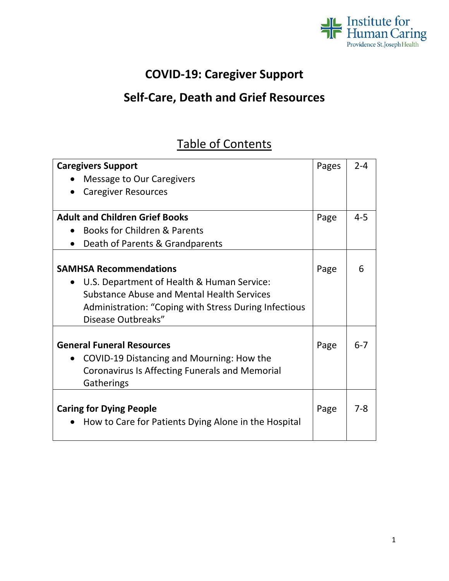

## **COVID-19: Caregiver Support**

## **Self-Care, Death and Grief Resources**

## Table of Contents

| <b>Caregivers Support</b>                               | Pages | $2 - 4$ |
|---------------------------------------------------------|-------|---------|
| Message to Our Caregivers                               |       |         |
| <b>Caregiver Resources</b>                              |       |         |
|                                                         |       |         |
| <b>Adult and Children Grief Books</b>                   | Page  | $4 - 5$ |
| <b>Books for Children &amp; Parents</b>                 |       |         |
| Death of Parents & Grandparents                         |       |         |
|                                                         |       |         |
| <b>SAMHSA Recommendations</b>                           | Page  | 6       |
| U.S. Department of Health & Human Service:<br>$\bullet$ |       |         |
| <b>Substance Abuse and Mental Health Services</b>       |       |         |
| Administration: "Coping with Stress During Infectious   |       |         |
| Disease Outbreaks"                                      |       |         |
|                                                         |       |         |
| <b>General Funeral Resources</b>                        | Page  | $6 - 7$ |
| COVID-19 Distancing and Mourning: How the<br>$\bullet$  |       |         |
| Coronavirus Is Affecting Funerals and Memorial          |       |         |
| Gatherings                                              |       |         |
|                                                         |       |         |
| <b>Caring for Dying People</b>                          | Page  | $7 - 8$ |
| How to Care for Patients Dying Alone in the Hospital    |       |         |
|                                                         |       |         |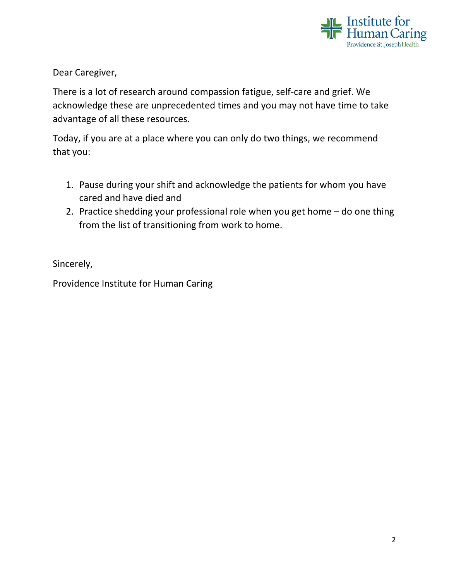

Dear Caregiver,

There is a lot of research around compassion fatigue, self-care and grief. We acknowledge these are unprecedented times and you may not have time to take advantage of all these resources.

Today, if you are at a place where you can only do two things, we recommend that you:

- 1. Pause during your shift and acknowledge the patients for whom you have cared and have died and
- 2. Practice shedding your professional role when you get home do one thing from the list of transitioning from work to home.

Sincerely,

Providence Institute for Human Caring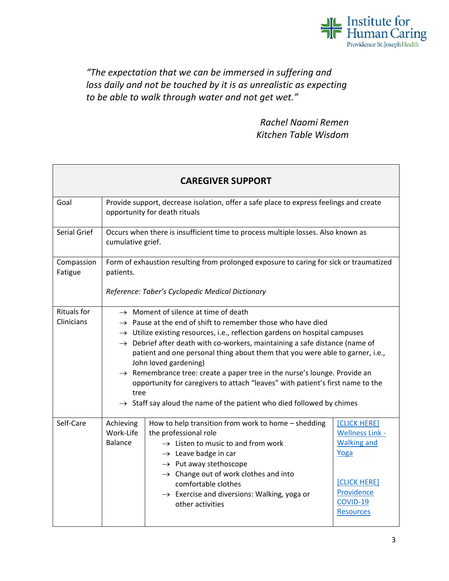

*"The expectation that we can be immersed in suffering and loss daily and not be touched by it is as unrealistic as expecting to be able to walk through water and not get wet."* 

> *Rachel Naomi Remen Kitchen Table Wisdom*

| <b>CAREGIVER SUPPORT</b>                |                                                                                                                                                                                                                                                                                                                                                                                                                                                                                                                                                                                                                                                                                                     |                                                                                                                                                                                                                                                                                                                                                                     |                                                                                                                                    |
|-----------------------------------------|-----------------------------------------------------------------------------------------------------------------------------------------------------------------------------------------------------------------------------------------------------------------------------------------------------------------------------------------------------------------------------------------------------------------------------------------------------------------------------------------------------------------------------------------------------------------------------------------------------------------------------------------------------------------------------------------------------|---------------------------------------------------------------------------------------------------------------------------------------------------------------------------------------------------------------------------------------------------------------------------------------------------------------------------------------------------------------------|------------------------------------------------------------------------------------------------------------------------------------|
| Goal                                    | Provide support, decrease isolation, offer a safe place to express feelings and create<br>opportunity for death rituals                                                                                                                                                                                                                                                                                                                                                                                                                                                                                                                                                                             |                                                                                                                                                                                                                                                                                                                                                                     |                                                                                                                                    |
| Serial Grief                            | Occurs when there is insufficient time to process multiple losses. Also known as<br>cumulative grief.                                                                                                                                                                                                                                                                                                                                                                                                                                                                                                                                                                                               |                                                                                                                                                                                                                                                                                                                                                                     |                                                                                                                                    |
| Compassion<br>Fatigue                   | Form of exhaustion resulting from prolonged exposure to caring for sick or traumatized<br>patients.<br>Reference: Taber's Cyclopedic Medical Dictionary                                                                                                                                                                                                                                                                                                                                                                                                                                                                                                                                             |                                                                                                                                                                                                                                                                                                                                                                     |                                                                                                                                    |
| <b>Rituals for</b><br><b>Clinicians</b> | $\rightarrow$ Moment of silence at time of death<br>$\rightarrow$ Pause at the end of shift to remember those who have died<br>$\rightarrow$ Utilize existing resources, i.e., reflection gardens on hospital campuses<br>$\rightarrow$ Debrief after death with co-workers, maintaining a safe distance (name of<br>patient and one personal thing about them that you were able to garner, i.e.,<br>John loved gardening)<br>$\rightarrow$ Remembrance tree: create a paper tree in the nurse's lounge. Provide an<br>opportunity for caregivers to attach "leaves" with patient's first name to the<br>tree<br>$\rightarrow$ Staff say aloud the name of the patient who died followed by chimes |                                                                                                                                                                                                                                                                                                                                                                     |                                                                                                                                    |
| Self-Care                               | Achieving<br>Work-Life<br><b>Balance</b>                                                                                                                                                                                                                                                                                                                                                                                                                                                                                                                                                                                                                                                            | How to help transition from work to home - shedding<br>the professional role<br>$\rightarrow$ Listen to music to and from work<br>$\rightarrow$ Leave badge in car<br>$\rightarrow$ Put away stethoscope<br>$\rightarrow$ Change out of work clothes and into<br>comfortable clothes<br>$\rightarrow$ Exercise and diversions: Walking, yoga or<br>other activities | [CLICK HERE]<br><b>Wellness Link -</b><br><b>Walking and</b><br>Yoga<br>[CLICK HERE]<br>Providence<br>COVID-19<br><b>Resources</b> |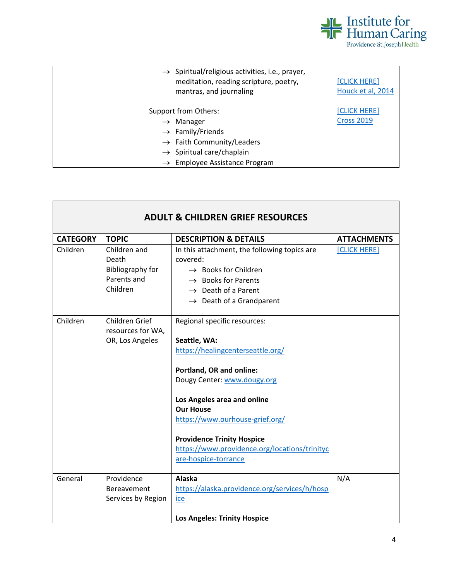

| Spiritual/religious activities, i.e., prayer,<br>$\rightarrow$<br>meditation, reading scripture, poetry,<br>mantras, and journaling | [CLICK HERE]<br>Houck et al, 2014 |
|-------------------------------------------------------------------------------------------------------------------------------------|-----------------------------------|
| Support from Others:<br>Manager<br>$\rightarrow$<br>$\rightarrow$ Family/Friends                                                    | [CLICK HERE]<br><b>Cross 2019</b> |
| $\rightarrow$ Faith Community/Leaders<br>$\rightarrow$ Spiritual care/chaplain<br>$\rightarrow$ Employee Assistance Program         |                                   |

| <b>ADULT &amp; CHILDREN GRIEF RESOURCES</b> |                                                                             |                                                                                                                                                                                                                                                                                                                                                         |                    |
|---------------------------------------------|-----------------------------------------------------------------------------|---------------------------------------------------------------------------------------------------------------------------------------------------------------------------------------------------------------------------------------------------------------------------------------------------------------------------------------------------------|--------------------|
| <b>CATEGORY</b>                             | <b>TOPIC</b>                                                                | <b>DESCRIPTION &amp; DETAILS</b>                                                                                                                                                                                                                                                                                                                        | <b>ATTACHMENTS</b> |
| Children                                    | Children and<br>Death<br><b>Bibliography for</b><br>Parents and<br>Children | In this attachment, the following topics are<br>covered:<br>$\rightarrow$ Books for Children<br>$\rightarrow$ Books for Parents<br>$\rightarrow$ Death of a Parent<br>$\rightarrow$ Death of a Grandparent                                                                                                                                              | [CLICK HERE]       |
| Children                                    | Children Grief<br>resources for WA,<br>OR, Los Angeles                      | Regional specific resources:<br>Seattle, WA:<br>https://healingcenterseattle.org/<br><b>Portland, OR and online:</b><br>Dougy Center: www.dougy.org<br>Los Angeles area and online<br><b>Our House</b><br>https://www.ourhouse-grief.org/<br><b>Providence Trinity Hospice</b><br>https://www.providence.org/locations/trinityc<br>are-hospice-torrance |                    |
| General                                     | Providence<br><b>Bereavement</b><br>Services by Region                      | <b>Alaska</b><br>https://alaska.providence.org/services/h/hosp<br><u>ice</u><br><b>Los Angeles: Trinity Hospice</b>                                                                                                                                                                                                                                     | N/A                |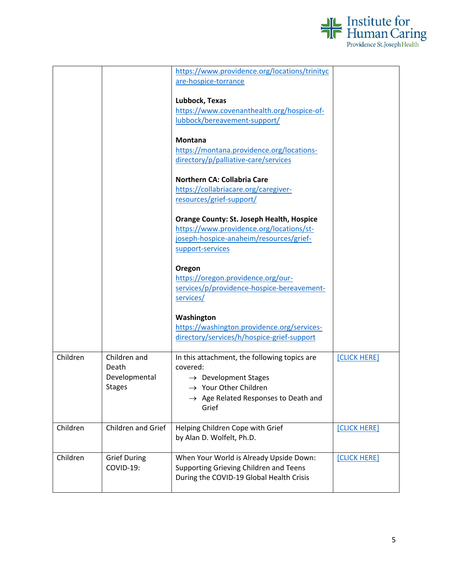

|          |                                                         | https://www.providence.org/locations/trinityc<br>are-hospice-torrance<br>Lubbock, Texas<br>https://www.covenanthealth.org/hospice-of-<br>lubbock/bereavement-support/<br><b>Montana</b><br>https://montana.providence.org/locations-<br>directory/p/palliative-care/services |              |
|----------|---------------------------------------------------------|------------------------------------------------------------------------------------------------------------------------------------------------------------------------------------------------------------------------------------------------------------------------------|--------------|
|          |                                                         | Northern CA: Collabria Care<br>https://collabriacare.org/caregiver-<br>resources/grief-support/                                                                                                                                                                              |              |
|          |                                                         | <b>Orange County: St. Joseph Health, Hospice</b><br>https://www.providence.org/locations/st-<br>joseph-hospice-anaheim/resources/grief-<br>support-services                                                                                                                  |              |
|          |                                                         | Oregon<br>https://oregon.providence.org/our-<br>services/p/providence-hospice-bereavement-<br>services/                                                                                                                                                                      |              |
|          |                                                         | Washington<br>https://washington.providence.org/services-<br>directory/services/h/hospice-grief-support                                                                                                                                                                      |              |
| Children | Children and<br>Death<br>Developmental<br><b>Stages</b> | In this attachment, the following topics are<br>covered:<br>$\rightarrow$ Development Stages<br>$\rightarrow$ Your Other Children<br>$\rightarrow$ Age Related Responses to Death and<br>Grief                                                                               | [CLICK HERE] |
| Children | Children and Grief                                      | Helping Children Cope with Grief<br>by Alan D. Wolfelt, Ph.D.                                                                                                                                                                                                                | [CLICK HERE] |
| Children | <b>Grief During</b><br>COVID-19:                        | When Your World is Already Upside Down:<br>Supporting Grieving Children and Teens<br>During the COVID-19 Global Health Crisis                                                                                                                                                | [CLICK HERE] |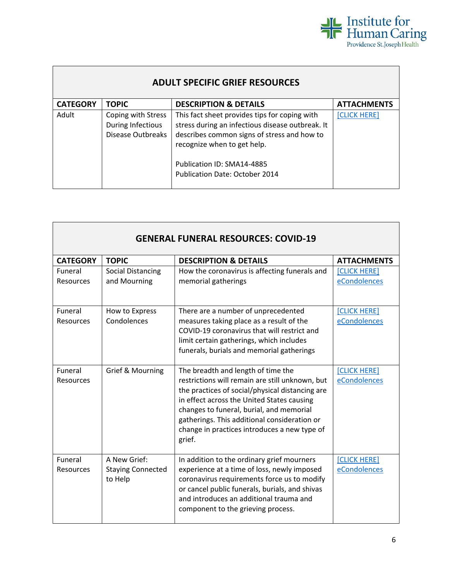

| <b>ADULT SPECIFIC GRIEF RESOURCES</b> |                                                              |                                                                                                                                                                                                               |                    |
|---------------------------------------|--------------------------------------------------------------|---------------------------------------------------------------------------------------------------------------------------------------------------------------------------------------------------------------|--------------------|
| <b>CATEGORY</b>                       | <b>TOPIC</b>                                                 | <b>DESCRIPTION &amp; DETAILS</b>                                                                                                                                                                              | <b>ATTACHMENTS</b> |
| Adult                                 | Coping with Stress<br>During Infectious<br>Disease Outbreaks | This fact sheet provides tips for coping with<br>stress during an infectious disease outbreak. It<br>describes common signs of stress and how to<br>recognize when to get help.<br>Publication ID: SMA14-4885 | [CLICK HERE]       |
|                                       |                                                              | Publication Date: October 2014                                                                                                                                                                                |                    |

**r** 

| <b>GENERAL FUNERAL RESOURCES: COVID-19</b> |                                                     |                                                                                                                                                                                                                                                                                                                                              |                              |
|--------------------------------------------|-----------------------------------------------------|----------------------------------------------------------------------------------------------------------------------------------------------------------------------------------------------------------------------------------------------------------------------------------------------------------------------------------------------|------------------------------|
| <b>CATEGORY</b>                            | <b>TOPIC</b>                                        | <b>DESCRIPTION &amp; DETAILS</b>                                                                                                                                                                                                                                                                                                             | <b>ATTACHMENTS</b>           |
| Funeral<br><b>Resources</b>                | <b>Social Distancing</b><br>and Mourning            | How the coronavirus is affecting funerals and<br>memorial gatherings                                                                                                                                                                                                                                                                         | [CLICK HERE]<br>eCondolences |
| Funeral<br><b>Resources</b>                | How to Express<br>Condolences                       | There are a number of unprecedented<br>measures taking place as a result of the<br>COVID-19 coronavirus that will restrict and<br>limit certain gatherings, which includes<br>funerals, burials and memorial gatherings                                                                                                                      | [CLICK HERE]<br>eCondolences |
| Funeral<br><b>Resources</b>                | Grief & Mourning                                    | The breadth and length of time the<br>restrictions will remain are still unknown, but<br>the practices of social/physical distancing are<br>in effect across the United States causing<br>changes to funeral, burial, and memorial<br>gatherings. This additional consideration or<br>change in practices introduces a new type of<br>grief. | [CLICK HERE]<br>eCondolences |
| Funeral<br><b>Resources</b>                | A New Grief:<br><b>Staying Connected</b><br>to Help | In addition to the ordinary grief mourners<br>experience at a time of loss, newly imposed<br>coronavirus requirements force us to modify<br>or cancel public funerals, burials, and shivas<br>and introduces an additional trauma and<br>component to the grieving process.                                                                  | [CLICK HERE]<br>eCondolences |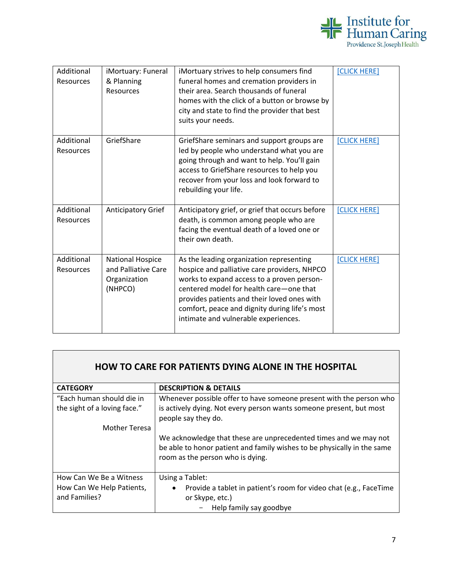

| Additional<br><b>Resources</b> | iMortuary: Funeral<br>& Planning<br><b>Resources</b>                      | iMortuary strives to help consumers find<br>funeral homes and cremation providers in<br>their area. Search thousands of funeral<br>homes with the click of a button or browse by<br>city and state to find the provider that best<br>suits your needs.                                                                    | [CLICK HERE] |
|--------------------------------|---------------------------------------------------------------------------|---------------------------------------------------------------------------------------------------------------------------------------------------------------------------------------------------------------------------------------------------------------------------------------------------------------------------|--------------|
| Additional<br><b>Resources</b> | GriefShare                                                                | GriefShare seminars and support groups are<br>led by people who understand what you are<br>going through and want to help. You'll gain<br>access to GriefShare resources to help you<br>recover from your loss and look forward to<br>rebuilding your life.                                                               | [CLICK HERE] |
| Additional<br>Resources        | <b>Anticipatory Grief</b>                                                 | Anticipatory grief, or grief that occurs before<br>death, is common among people who are<br>facing the eventual death of a loved one or<br>their own death.                                                                                                                                                               | [CLICK HERE] |
| Additional<br><b>Resources</b> | <b>National Hospice</b><br>and Palliative Care<br>Organization<br>(NHPCO) | As the leading organization representing<br>hospice and palliative care providers, NHPCO<br>works to expand access to a proven person-<br>centered model for health care-one that<br>provides patients and their loved ones with<br>comfort, peace and dignity during life's most<br>intimate and vulnerable experiences. | [CLICK HERE] |

| HOW TO CARE FOR PATIENTS DYING ALONE IN THE HOSPITAL                  |                                                                                                                                                                                 |  |
|-----------------------------------------------------------------------|---------------------------------------------------------------------------------------------------------------------------------------------------------------------------------|--|
| <b>CATEGORY</b>                                                       | <b>DESCRIPTION &amp; DETAILS</b>                                                                                                                                                |  |
| "Each human should die in<br>the sight of a loving face."             | Whenever possible offer to have someone present with the person who<br>is actively dying. Not every person wants someone present, but most<br>people say they do.               |  |
| <b>Mother Teresa</b>                                                  |                                                                                                                                                                                 |  |
|                                                                       | We acknowledge that these are unprecedented times and we may not<br>be able to honor patient and family wishes to be physically in the same<br>room as the person who is dying. |  |
| How Can We Be a Witness<br>How Can We Help Patients,<br>and Families? | Using a Tablet:<br>Provide a tablet in patient's room for video chat (e.g., FaceTime<br>$\bullet$<br>or Skype, etc.)<br>Help family say goodbye                                 |  |